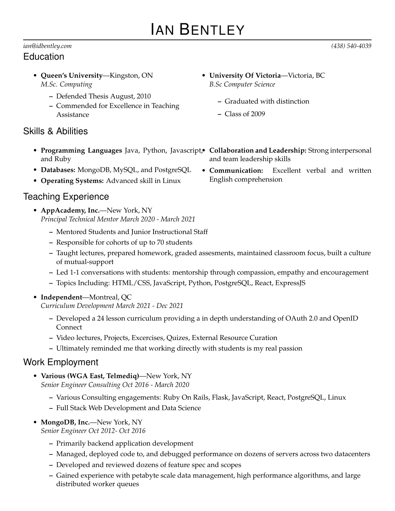# IAN BENTLEY

#### *ian@idbentley.com (438) 540-4039* Education

- **Queen's University**—Kingston, ON *M.Sc. Computing*
	- **–** Defended Thesis August, 2010
	- **–** Commended for Excellence in Teaching Assistance

# Skills & Abilities

- **Programming Languages** Java, Python, Javascript, **Collaboration and Leadership:** Strong interpersonal and Ruby
- **Databases:** MongoDB, MySQL, and PostgreSQL
- **Operating Systems:** Advanced skill in Linux

## Teaching Experience

- **AppAcademy, Inc.**—New York, NY *Principal Technical Mentor March 2020 - March 2021*
	- **–** Mentored Students and Junior Instructional Staff
	- **–** Responsible for cohorts of up to 70 students
	- **–** Taught lectures, prepared homework, graded assesments, maintained classroom focus, built a culture of mutual-support
	- **–** Led 1-1 conversations with students: mentorship through compassion, empathy and encouragement
	- **–** Topics Including: HTML/CSS, JavaScript, Python, PostgreSQL, React, ExpressJS
- **Independent**—Montreal, QC

*Curriculum Development March 2021 - Dec 2021*

- **–** Developed a 24 lesson curriculum providing a in depth understanding of OAuth 2.0 and OpenID Connect
- **–** Video lectures, Projects, Excercises, Quizes, External Resource Curation
- **–** Ultimately reminded me that working directly with students is my real passion

### Work Employment

- **Various (WGA East, Telmediq)**—New York, NY *Senior Engineer Consulting Oct 2016 - March 2020*
	- **–** Various Consulting engagements: Ruby On Rails, Flask, JavaScript, React, PostgreSQL, Linux
	- **–** Full Stack Web Development and Data Science
- **MongoDB, Inc.**—New York, NY

*Senior Engineer Oct 2012- Oct 2016*

- **–** Primarily backend application development
- **–** Managed, deployed code to, and debugged performance on dozens of servers across two datacenters
- **–** Developed and reviewed dozens of feature spec and scopes
- **–** Gained experience with petabyte scale data management, high performance algorithms, and large distributed worker queues
- **University Of Victoria**—Victoria, BC *B.Sc Computer Science*
	- **–** Graduated with distinction
	- **–** Class of 2009
- and team leadership skills
- **Communication:** Excellent verbal and written English comprehension